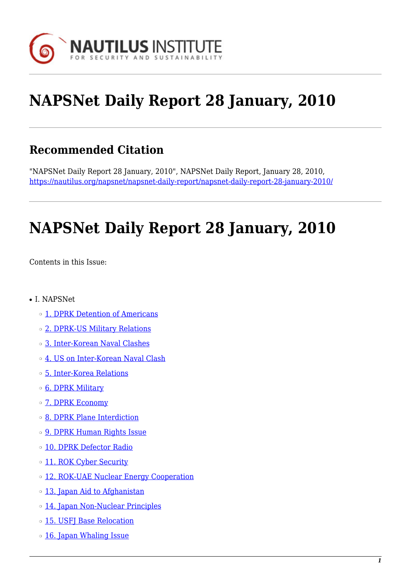

# **NAPSNet Daily Report 28 January, 2010**

# **Recommended Citation**

"NAPSNet Daily Report 28 January, 2010", NAPSNet Daily Report, January 28, 2010, <https://nautilus.org/napsnet/napsnet-daily-report/napsnet-daily-report-28-january-2010/>

# **NAPSNet Daily Report 28 January, 2010**

<span id="page-0-0"></span>Contents in this Issue:

- I. NAPSNet
	- ❍ [1. DPRK Detention of Americans](#page-1-0)
	- ❍ [2. DPRK-US Military Relations](#page-1-1)
	- ❍ [3. Inter-Korean Naval Clashes](#page-1-2)
	- ❍ [4. US on Inter-Korean Naval Clash](#page-2-0)
	- ❍ [5. Inter-Korea Relations](#page-2-1)
	- o **[6. DPRK Military](#page-2-2)**
	- o **[7. DPRK Economy](#page-3-0)**
	- ❍ [8. DPRK Plane Interdiction](#page-3-1)
	- o **[9. DPRK Human Rights Issue](#page-3-2)**
	- o [10. DPRK Defector Radio](#page-4-0)
	- o [11. ROK Cyber Security](#page-4-1)
	- o [12. ROK-UAE Nuclear Energy Cooperation](#page-4-2)
	- ❍ [13. Japan Aid to Afghanistan](#page-5-0)
	- ❍ [14. Japan Non-Nuclear Principles](#page-5-1)
	- ❍ [15. USFJ Base Relocation](#page-5-2)
	- o [16. Japan Whaling Issue](#page-6-0)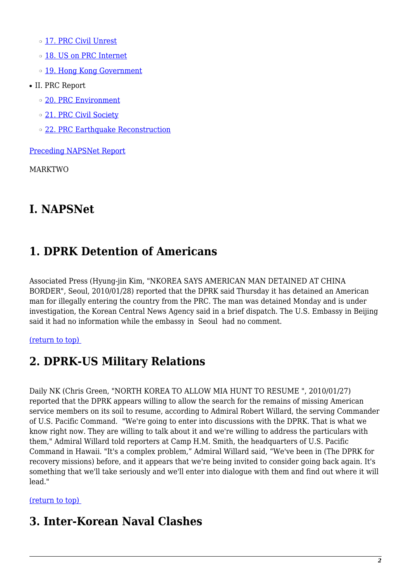❍ [17. PRC Civil Unrest](#page-6-1)

- ❍ [18. US on PRC Internet](#page-6-2)
- o [19. Hong Kong Government](#page-6-3)
- II. PRC Report
	- ❍ [20. PRC Environment](#page-7-0)
	- o [21. PRC Civil Society](#page-7-1)
	- ❍ [22. PRC Earthquake Reconstruction](#page-7-2)

[Preceding NAPSNet Report](https://nautilus.org/mailing-lists/napsnet/dr/2010-2/napsnet-daily-report-27-january-2010/)

MARKTWO

# **I. NAPSNet**

# <span id="page-1-0"></span>**1. DPRK Detention of Americans**

Associated Press (Hyung-jin Kim, "NKOREA SAYS AMERICAN MAN DETAINED AT CHINA BORDER", Seoul, 2010/01/28) reported that the DPRK said Thursday it has detained an American man for illegally entering the country from the PRC. The man was detained Monday and is under investigation, the Korean Central News Agency said in a brief dispatch. The U.S. Embassy in Beijing said it had no information while the embassy in Seoul had no comment.

#### <span id="page-1-1"></span>[\(return to top\)](#page-0-0)

# **2. DPRK-US Military Relations**

Daily NK (Chris Green, "NORTH KOREA TO ALLOW MIA HUNT TO RESUME ", 2010/01/27) reported that the DPRK appears willing to allow the search for the remains of missing American service members on its soil to resume, according to Admiral Robert Willard, the serving Commander of U.S. Pacific Command. "We're going to enter into discussions with the DPRK. That is what we know right now. They are willing to talk about it and we're willing to address the particulars with them," Admiral Willard told reporters at Camp H.M. Smith, the headquarters of U.S. Pacific Command in Hawaii. "It's a complex problem," Admiral Willard said, "We've been in (The DPRK for recovery missions) before, and it appears that we're being invited to consider going back again. It's something that we'll take seriously and we'll enter into dialogue with them and find out where it will lead."

#### <span id="page-1-2"></span>[\(return to top\)](#page-0-0)

# **3. Inter-Korean Naval Clashes**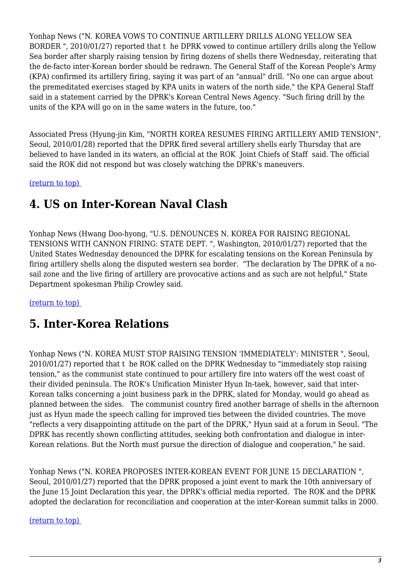Yonhap News ("N. KOREA VOWS TO CONTINUE ARTILLERY DRILLS ALONG YELLOW SEA BORDER ", 2010/01/27) reported that t he DPRK vowed to continue artillery drills along the Yellow Sea border after sharply raising tension by firing dozens of shells there Wednesday, reiterating that the de-facto inter-Korean border should be redrawn. The General Staff of the Korean People's Army (KPA) confirmed its artillery firing, saying it was part of an "annual" drill. "No one can argue about the premeditated exercises staged by KPA units in waters of the north side," the KPA General Staff said in a statement carried by the DPRK's Korean Central News Agency. "Such firing drill by the units of the KPA will go on in the same waters in the future, too."

Associated Press (Hyung-jin Kim, "NORTH KOREA RESUMES FIRING ARTILLERY AMID TENSION", Seoul, 2010/01/28) reported that the DPRK fired several artillery shells early Thursday that are believed to have landed in its waters, an official at the ROK Joint Chiefs of Staff said. The official said the ROK did not respond but was closely watching the DPRK's maneuvers.

<span id="page-2-0"></span>[\(return to top\)](#page-0-0) 

### **4. US on Inter-Korean Naval Clash**

Yonhap News (Hwang Doo-hyong, "U.S. DENOUNCES N. KOREA FOR RAISING REGIONAL TENSIONS WITH CANNON FIRING: STATE DEPT. ", Washington, 2010/01/27) reported that the United States Wednesday denounced the DPRK for escalating tensions on the Korean Peninsula by firing artillery shells along the disputed western sea border. "The declaration by The DPRK of a nosail zone and the live firing of artillery are provocative actions and as such are not helpful," State Department spokesman Philip Crowley said.

<span id="page-2-1"></span>[\(return to top\)](#page-0-0) 

# **5. Inter-Korea Relations**

Yonhap News ("N. KOREA MUST STOP RAISING TENSION 'IMMEDIATELY': MINISTER ", Seoul, 2010/01/27) reported that t he ROK called on the DPRK Wednesday to "immediately stop raising tension," as the communist state continued to pour artillery fire into waters off the west coast of their divided peninsula. The ROK's Unification Minister Hyun In-taek, however, said that inter-Korean talks concerning a joint business park in the DPRK, slated for Monday, would go ahead as planned between the sides. The communist country fired another barrage of shells in the afternoon just as Hyun made the speech calling for improved ties between the divided countries. The move "reflects a very disappointing attitude on the part of the DPRK," Hyun said at a forum in Seoul. "The DPRK has recently shown conflicting attitudes, seeking both confrontation and dialogue in inter-Korean relations. But the North must pursue the direction of dialogue and cooperation," he said.

Yonhap News ("N. KOREA PROPOSES INTER-KOREAN EVENT FOR JUNE 15 DECLARATION ", Seoul, 2010/01/27) reported that the DPRK proposed a joint event to mark the 10th anniversary of the June 15 Joint Declaration this year, the DPRK's official media reported. The ROK and the DPRK adopted the declaration for reconciliation and cooperation at the inter-Korean summit talks in 2000.

<span id="page-2-2"></span>[\(return to top\)](#page-0-0)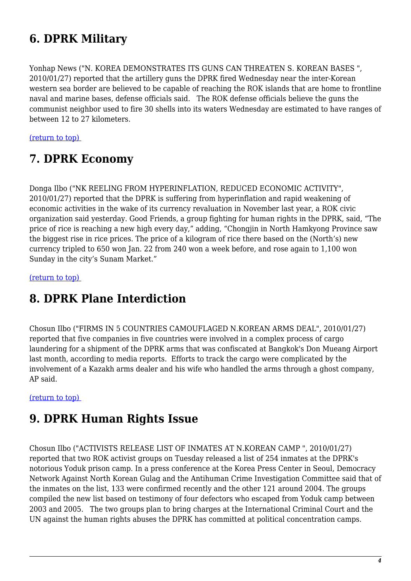# **6. DPRK Military**

Yonhap News ("N. KOREA DEMONSTRATES ITS GUNS CAN THREATEN S. KOREAN BASES ", 2010/01/27) reported that the artillery guns the DPRK fired Wednesday near the inter-Korean western sea border are believed to be capable of reaching the ROK islands that are home to frontline naval and marine bases, defense officials said. The ROK defense officials believe the guns the communist neighbor used to fire 30 shells into its waters Wednesday are estimated to have ranges of between 12 to 27 kilometers.

<span id="page-3-0"></span>[\(return to top\)](#page-0-0) 

### **7. DPRK Economy**

Donga Ilbo ("NK REELING FROM HYPERINFLATION, REDUCED ECONOMIC ACTIVITY", 2010/01/27) reported that the DPRK is suffering from hyperinflation and rapid weakening of economic activities in the wake of its currency revaluation in November last year, a ROK civic organization said yesterday. Good Friends, a group fighting for human rights in the DPRK, said, "The price of rice is reaching a new high every day," adding, "Chongjin in North Hamkyong Province saw the biggest rise in rice prices. The price of a kilogram of rice there based on the (North's) new currency tripled to 650 won Jan. 22 from 240 won a week before, and rose again to 1,100 won Sunday in the city's Sunam Market."

<span id="page-3-1"></span>[\(return to top\)](#page-0-0) 

### **8. DPRK Plane Interdiction**

Chosun Ilbo ("FIRMS IN 5 COUNTRIES CAMOUFLAGED N.KOREAN ARMS DEAL", 2010/01/27) reported that five companies in five countries were involved in a complex process of cargo laundering for a shipment of the DPRK arms that was confiscated at Bangkok's Don Mueang Airport last month, according to media reports. Efforts to track the cargo were complicated by the involvement of a Kazakh arms dealer and his wife who handled the arms through a ghost company, AP said.

#### <span id="page-3-2"></span>[\(return to top\)](#page-0-0)

### **9. DPRK Human Rights Issue**

Chosun Ilbo ("ACTIVISTS RELEASE LIST OF INMATES AT N.KOREAN CAMP ", 2010/01/27) reported that two ROK activist groups on Tuesday released a list of 254 inmates at the DPRK's notorious Yoduk prison camp. In a press conference at the Korea Press Center in Seoul, Democracy Network Against North Korean Gulag and the Antihuman Crime Investigation Committee said that of the inmates on the list, 133 were confirmed recently and the other 121 around 2004. The groups compiled the new list based on testimony of four defectors who escaped from Yoduk camp between 2003 and 2005. The two groups plan to bring charges at the International Criminal Court and the UN against the human rights abuses the DPRK has committed at political concentration camps.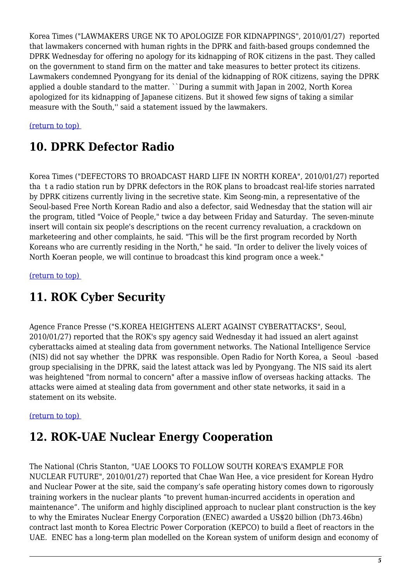Korea Times ("LAWMAKERS URGE NK TO APOLOGIZE FOR KIDNAPPINGS", 2010/01/27) reported that lawmakers concerned with human rights in the DPRK and faith-based groups condemned the DPRK Wednesday for offering no apology for its kidnapping of ROK citizens in the past. They called on the government to stand firm on the matter and take measures to better protect its citizens. Lawmakers condemned Pyongyang for its denial of the kidnapping of ROK citizens, saying the DPRK applied a double standard to the matter. ``During a summit with Japan in 2002, North Korea apologized for its kidnapping of Japanese citizens. But it showed few signs of taking a similar measure with the South,'' said a statement issued by the lawmakers.

#### <span id="page-4-0"></span>[\(return to top\)](#page-0-0)

### **10. DPRK Defector Radio**

Korea Times ("DEFECTORS TO BROADCAST HARD LIFE IN NORTH KOREA", 2010/01/27) reported tha t a radio station run by DPRK defectors in the ROK plans to broadcast real-life stories narrated by DPRK citizens currently living in the secretive state. Kim Seong-min, a representative of the Seoul-based Free North Korean Radio and also a defector, said Wednesday that the station will air the program, titled "Voice of People," twice a day between Friday and Saturday. The seven-minute insert will contain six people's descriptions on the recent currency revaluation, a crackdown on marketeering and other complaints, he said. "This will be the first program recorded by North Koreans who are currently residing in the North," he said. "In order to deliver the lively voices of North Koeran people, we will continue to broadcast this kind program once a week."

<span id="page-4-1"></span>[\(return to top\)](#page-0-0) 

### **11. ROK Cyber Security**

Agence France Presse ("S.KOREA HEIGHTENS ALERT AGAINST CYBERATTACKS", Seoul, 2010/01/27) reported that the ROK's spy agency said Wednesday it had issued an alert against cyberattacks aimed at stealing data from government networks. The National Intelligence Service (NIS) did not say whether the DPRK was responsible. Open Radio for North Korea, a Seoul -based group specialising in the DPRK, said the latest attack was led by Pyongyang. The NIS said its alert was heightened "from normal to concern" after a massive inflow of overseas hacking attacks. The attacks were aimed at stealing data from government and other state networks, it said in a statement on its website.

#### <span id="page-4-2"></span>[\(return to top\)](#page-0-0)

### **12. ROK-UAE Nuclear Energy Cooperation**

The National (Chris Stanton, "UAE LOOKS TO FOLLOW SOUTH KOREA'S EXAMPLE FOR NUCLEAR FUTURE", 2010/01/27) reported that Chae Wan Hee, a vice president for Korean Hydro and Nuclear Power at the site, said the company's safe operating history comes down to rigorously training workers in the nuclear plants "to prevent human-incurred accidents in operation and maintenance". The uniform and highly disciplined approach to nuclear plant construction is the key to why the Emirates Nuclear Energy Corporation (ENEC) awarded a US\$20 billion (Dh73.46bn) contract last month to Korea Electric Power Corporation (KEPCO) to build a fleet of reactors in the UAE. ENEC has a long-term plan modelled on the Korean system of uniform design and economy of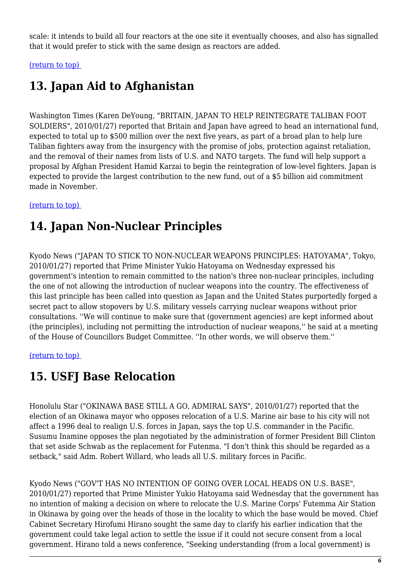scale: it intends to build all four reactors at the one site it eventually chooses, and also has signalled that it would prefer to stick with the same design as reactors are added.

<span id="page-5-0"></span>[\(return to top\)](#page-0-0) 

# **13. Japan Aid to Afghanistan**

Washington Times (Karen DeYoung, "BRITAIN, JAPAN TO HELP REINTEGRATE TALIBAN FOOT SOLDIERS", 2010/01/27) reported that Britain and Japan have agreed to head an international fund, expected to total up to \$500 million over the next five years, as part of a broad plan to help lure Taliban fighters away from the insurgency with the promise of jobs, protection against retaliation, and the removal of their names from lists of U.S. and NATO targets. The fund will help support a proposal by Afghan President Hamid Karzai to begin the reintegration of low-level fighters. Japan is expected to provide the largest contribution to the new fund, out of a \$5 billion aid commitment made in November.

#### <span id="page-5-1"></span>[\(return to top\)](#page-0-0)

# **14. Japan Non-Nuclear Principles**

Kyodo News ("JAPAN TO STICK TO NON-NUCLEAR WEAPONS PRINCIPLES: HATOYAMA", Tokyo, 2010/01/27) reported that Prime Minister Yukio Hatoyama on Wednesday expressed his government's intention to remain committed to the nation's three non-nuclear principles, including the one of not allowing the introduction of nuclear weapons into the country. The effectiveness of this last principle has been called into question as Japan and the United States purportedly forged a secret pact to allow stopovers by U.S. military vessels carrying nuclear weapons without prior consultations. ''We will continue to make sure that (government agencies) are kept informed about (the principles), including not permitting the introduction of nuclear weapons,'' he said at a meeting of the House of Councillors Budget Committee. ''In other words, we will observe them.''

#### <span id="page-5-2"></span>[\(return to top\)](#page-0-0)

# **15. USFJ Base Relocation**

Honolulu Star ("OKINAWA BASE STILL A GO, ADMIRAL SAYS", 2010/01/27) reported that the election of an Okinawa mayor who opposes relocation of a U.S. Marine air base to his city will not affect a 1996 deal to realign U.S. forces in Japan, says the top U.S. commander in the Pacific. Susumu Inamine opposes the plan negotiated by the administration of former President Bill Clinton that set aside Schwab as the replacement for Futenma. "I don't think this should be regarded as a setback," said Adm. Robert Willard, who leads all U.S. military forces in Pacific.

Kyodo News ("GOV'T HAS NO INTENTION OF GOING OVER LOCAL HEADS ON U.S. BASE", 2010/01/27) reported that Prime Minister Yukio Hatoyama said Wednesday that the government has no intention of making a decision on where to relocate the U.S. Marine Corps' Futemma Air Station in Okinawa by going over the heads of those in the locality to which the base would be moved. Chief Cabinet Secretary Hirofumi Hirano sought the same day to clarify his earlier indication that the government could take legal action to settle the issue if it could not secure consent from a local government. Hirano told a news conference, "Seeking understanding (from a local government) is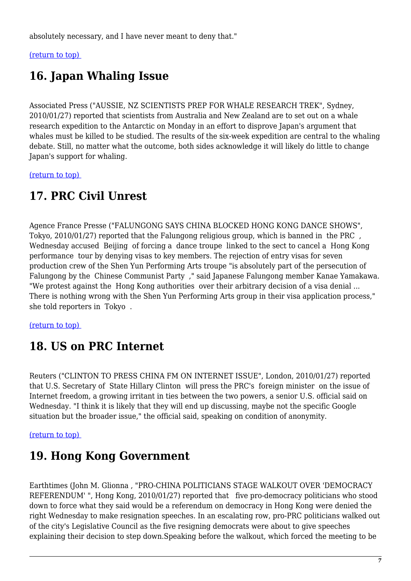absolutely necessary, and I have never meant to deny that."

<span id="page-6-0"></span>[\(return to top\)](#page-0-0) 

# **16. Japan Whaling Issue**

Associated Press ("AUSSIE, NZ SCIENTISTS PREP FOR WHALE RESEARCH TREK", Sydney, 2010/01/27) reported that scientists from Australia and New Zealand are to set out on a whale research expedition to the Antarctic on Monday in an effort to disprove Japan's argument that whales must be killed to be studied. The results of the six-week expedition are central to the whaling debate. Still, no matter what the outcome, both sides acknowledge it will likely do little to change Japan's support for whaling.

<span id="page-6-1"></span>[\(return to top\)](#page-0-0) 

# **17. PRC Civil Unrest**

Agence France Presse ("FALUNGONG SAYS CHINA BLOCKED HONG KONG DANCE SHOWS", Tokyo, 2010/01/27) reported that the Falungong religious group, which is banned in the PRC , Wednesday accused Beijing of forcing a dance troupe linked to the sect to cancel a Hong Kong performance tour by denying visas to key members. The rejection of entry visas for seven production crew of the Shen Yun Performing Arts troupe "is absolutely part of the persecution of Falungong by the Chinese Communist Party ," said Japanese Falungong member Kanae Yamakawa. "We protest against the Hong Kong authorities over their arbitrary decision of a visa denial ... There is nothing wrong with the Shen Yun Performing Arts group in their visa application process," she told reporters in Tokyo .

<span id="page-6-2"></span>[\(return to top\)](#page-0-0) 

### **18. US on PRC Internet**

Reuters ("CLINTON TO PRESS CHINA FM ON INTERNET ISSUE", London, 2010/01/27) reported that U.S. Secretary of State Hillary Clinton will press the PRC's foreign minister on the issue of Internet freedom, a growing irritant in ties between the two powers, a senior U.S. official said on Wednesday. "I think it is likely that they will end up discussing, maybe not the specific Google situation but the broader issue," the official said, speaking on condition of anonymity.

<span id="page-6-3"></span>[\(return to top\)](#page-0-0) 

# **19. Hong Kong Government**

Earthtimes (John M. Glionna , "PRO-CHINA POLITICIANS STAGE WALKOUT OVER 'DEMOCRACY REFERENDUM' ", Hong Kong, 2010/01/27) reported that five pro-democracy politicians who stood down to force what they said would be a referendum on democracy in Hong Kong were denied the right Wednesday to make resignation speeches. In an escalating row, pro-PRC politicians walked out of the city's Legislative Council as the five resigning democrats were about to give speeches explaining their decision to step down.Speaking before the walkout, which forced the meeting to be